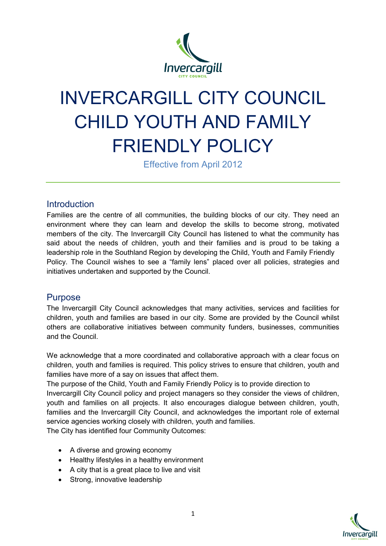

# INVERCARGILL CITY COUNCIL CHILD YOUTH AND FAMILY FRIENDLY POLICY

Effective from April 2012

#### **Introduction**

Families are the centre of all communities, the building blocks of our city. They need an environment where they can learn and develop the skills to become strong, motivated members of the city. The Invercargill City Council has listened to what the community has said about the needs of children, youth and their families and is proud to be taking a leadership role in the Southland Region by developing the Child, Youth and Family Friendly Policy. The Council wishes to see a "family lens" placed over all policies, strategies and initiatives undertaken and supported by the Council.

### Purpose

The Invercargill City Council acknowledges that many activities, services and facilities for children, youth and families are based in our city. Some are provided by the Council whilst others are collaborative initiatives between community funders, businesses, communities and the Council.

We acknowledge that a more coordinated and collaborative approach with a clear focus on children, youth and families is required. This policy strives to ensure that children, youth and families have more of a say on issues that affect them.

The purpose of the Child, Youth and Family Friendly Policy is to provide direction to Invercargill City Council policy and project managers so they consider the views of children, youth and families on all projects. It also encourages dialogue between children, youth, families and the Invercargill City Council, and acknowledges the important role of external service agencies working closely with children, youth and families.

The City has identified four Community Outcomes:

- A diverse and growing economy
- Healthy lifestyles in a healthy environment
- A city that is a great place to live and visit
- Strong, innovative leadership

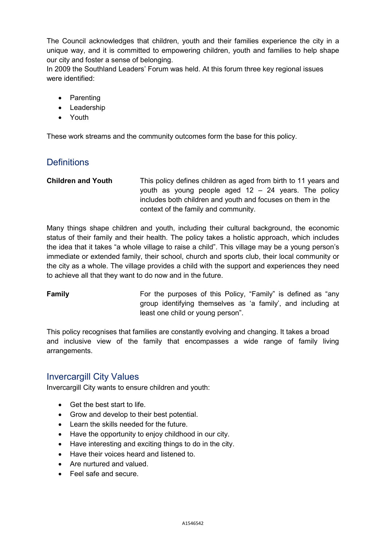The Council acknowledges that children, youth and their families experience the city in a unique way, and it is committed to empowering children, youth and families to help shape our city and foster a sense of belonging.

In 2009 the Southland Leaders' Forum was held. At this forum three key regional issues were identified:

- Parenting
- Leadership
- Youth

These work streams and the community outcomes form the base for this policy.

### **Definitions**

**Children and Youth** This policy defines children as aged from birth to 11 years and youth as young people aged 12 – 24 years. The policy includes both children and youth and focuses on them in the context of the family and community.

Many things shape children and youth, including their cultural background, the economic status of their family and their health. The policy takes a holistic approach, which includes the idea that it takes "a whole village to raise a child". This village may be a young person's immediate or extended family, their school, church and sports club, their local community or the city as a whole. The village provides a child with the support and experiences they need to achieve all that they want to do now and in the future.

**Family For the purposes of this Policy, "Family" is defined as "any Family"** group identifying themselves as 'a family', and including at least one child or young person".

This policy recognises that families are constantly evolving and changing. It takes a broad and inclusive view of the family that encompasses a wide range of family living arrangements.

#### Invercargill City Values

Invercargill City wants to ensure children and youth:

- Get the best start to life.
- Grow and develop to their best potential.
- Learn the skills needed for the future.
- Have the opportunity to enjoy childhood in our city.
- Have interesting and exciting things to do in the city.
- Have their voices heard and listened to.
- Are nurtured and valued.
- Feel safe and secure.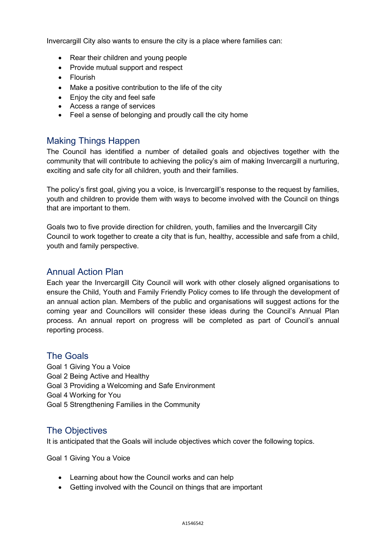Invercargill City also wants to ensure the city is a place where families can:

- Rear their children and young people
- Provide mutual support and respect
- Flourish
- Make a positive contribution to the life of the city
- Enjoy the city and feel safe
- Access a range of services
- Feel a sense of belonging and proudly call the city home

#### Making Things Happen

The Council has identified a number of detailed goals and objectives together with the community that will contribute to achieving the policy's aim of making Invercargill a nurturing, exciting and safe city for all children, youth and their families.

The policy's first goal, giving you a voice, is Invercargill's response to the request by families, youth and children to provide them with ways to become involved with the Council on things that are important to them.

Goals two to five provide direction for children, youth, families and the Invercargill City Council to work together to create a city that is fun, healthy, accessible and safe from a child, youth and family perspective.

#### Annual Action Plan

Each year the Invercargill City Council will work with other closely aligned organisations to ensure the Child, Youth and Family Friendly Policy comes to life through the development of an annual action plan. Members of the public and organisations will suggest actions for the coming year and Councillors will consider these ideas during the Council's Annual Plan process. An annual report on progress will be completed as part of Council's annual reporting process.

#### The Goals

Goal 1 Giving You a Voice Goal 2 Being Active and Healthy Goal 3 Providing a Welcoming and Safe Environment Goal 4 Working for You Goal 5 Strengthening Families in the Community

#### The Objectives

It is anticipated that the Goals will include objectives which cover the following topics.

Goal 1 Giving You a Voice

- Learning about how the Council works and can help
- Getting involved with the Council on things that are important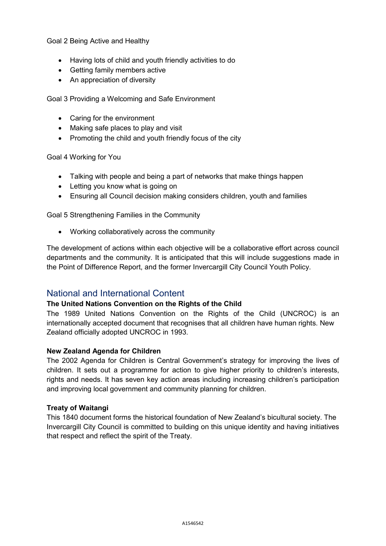Goal 2 Being Active and Healthy

- Having lots of child and youth friendly activities to do
- Getting family members active
- An appreciation of diversity

Goal 3 Providing a Welcoming and Safe Environment

- Caring for the environment
- Making safe places to play and visit
- Promoting the child and youth friendly focus of the city

Goal 4 Working for You

- Talking with people and being a part of networks that make things happen
- Letting you know what is going on
- Ensuring all Council decision making considers children, youth and families

Goal 5 Strengthening Families in the Community

• Working collaboratively across the community

The development of actions within each objective will be a collaborative effort across council departments and the community. It is anticipated that this will include suggestions made in the Point of Difference Report, and the former Invercargill City Council Youth Policy.

#### National and International Content

#### **The United Nations Convention on the Rights of the Child**

The 1989 United Nations Convention on the Rights of the Child (UNCROC) is an internationally accepted document that recognises that all children have human rights. New Zealand officially adopted UNCROC in 1993.

#### **New Zealand Agenda for Children**

The 2002 Agenda for Children is Central Government's strategy for improving the lives of children. It sets out a programme for action to give higher priority to children's interests, rights and needs. It has seven key action areas including increasing children's participation and improving local government and community planning for children.

#### **Treaty of Waitangi**

This 1840 document forms the historical foundation of New Zealand's bicultural society. The Invercargill City Council is committed to building on this unique identity and having initiatives that respect and reflect the spirit of the Treaty.